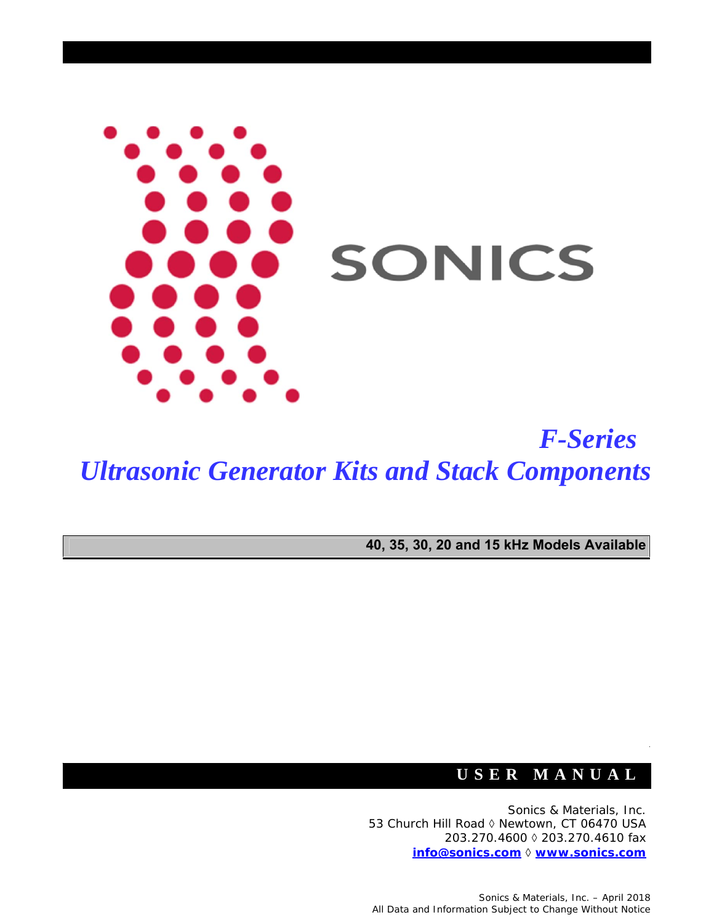

*F-Series Ultrasonic Generator Kits and Stack Components*

**40, 35, 30, 20 and 15 kHz Models Available**

### **USER MANUAL**

Sonics & Materials, Inc. 53 Church Hill Road ◊ Newtown, CT 06470 USA 203.270.4600 ◊ 203.270.4610 fax **info@sonics.com ◊ www.sonics.com**

Sonics & Materials, Inc. – April 2018 All Data and Information Subject to Change Without Notice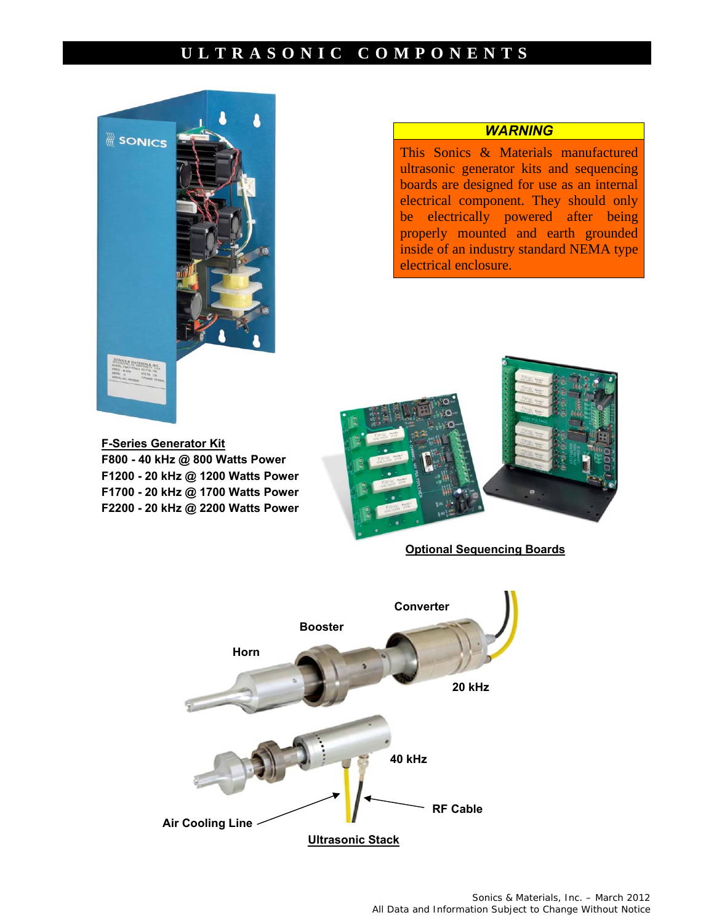#### **ULTRASONIC COMPONENTS**



#### *WARNING*

This Sonics & Materials manufactured ultrasonic generator kits and sequencing boards are designed for use as an internal electrical component. They should only be electrically powered after being properly mounted and earth grounded inside of an industry standard NEMA type electrical enclosure.





**Optional Sequencing Boards** 

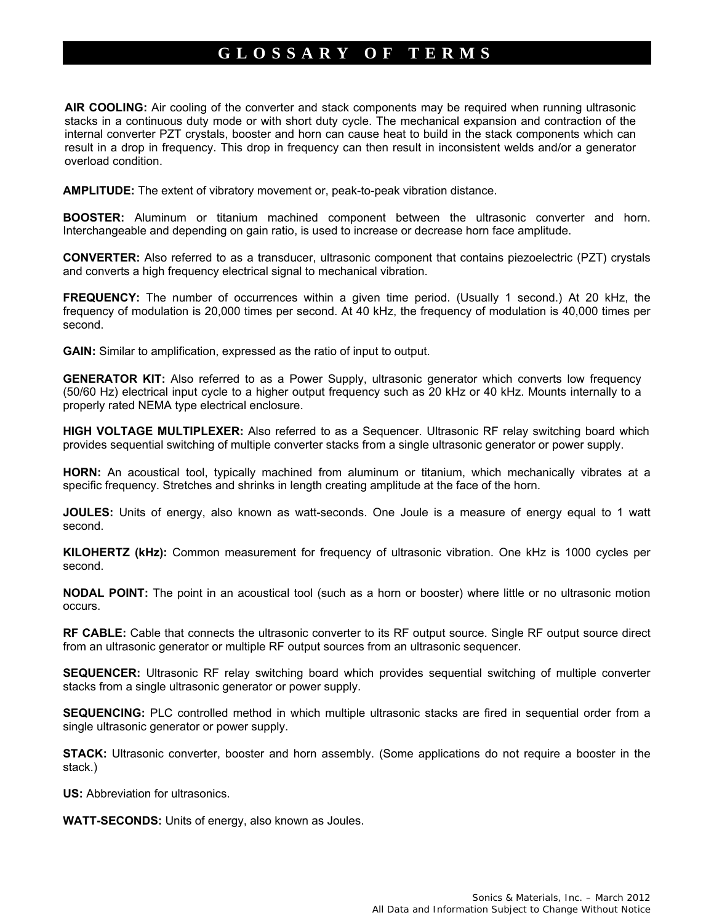#### **GLOSSARY OF TERMS**

**AIR COOLING:** Air cooling of the converter and stack components may be required when running ultrasonic stacks in a continuous duty mode or with short duty cycle. The mechanical expansion and contraction of the internal converter PZT crystals, booster and horn can cause heat to build in the stack components which can result in a drop in frequency. This drop in frequency can then result in inconsistent welds and/or a generator overload condition.

**AMPLITUDE:** The extent of vibratory movement or, peak-to-peak vibration distance.

**BOOSTER:** Aluminum or titanium machined component between the ultrasonic converter and horn. Interchangeable and depending on gain ratio, is used to increase or decrease horn face amplitude.

**CONVERTER:** Also referred to as a transducer, ultrasonic component that contains piezoelectric (PZT) crystals and converts a high frequency electrical signal to mechanical vibration.

**FREQUENCY:** The number of occurrences within a given time period. (Usually 1 second.) At 20 kHz, the frequency of modulation is 20,000 times per second. At 40 kHz, the frequency of modulation is 40,000 times per second.

**GAIN:** Similar to amplification, expressed as the ratio of input to output.

**GENERATOR KIT:** Also referred to as a Power Supply, ultrasonic generator which converts low frequency (50/60 Hz) electrical input cycle to a higher output frequency such as 20 kHz or 40 kHz. Mounts internally to a properly rated NEMA type electrical enclosure.

**HIGH VOLTAGE MULTIPLEXER:** Also referred to as a Sequencer. Ultrasonic RF relay switching board which provides sequential switching of multiple converter stacks from a single ultrasonic generator or power supply.

**HORN:** An acoustical tool, typically machined from aluminum or titanium, which mechanically vibrates at a specific frequency. Stretches and shrinks in length creating amplitude at the face of the horn.

**JOULES:** Units of energy, also known as watt-seconds. One Joule is a measure of energy equal to 1 watt second.

**KILOHERTZ (kHz):** Common measurement for frequency of ultrasonic vibration. One kHz is 1000 cycles per second.

**NODAL POINT:** The point in an acoustical tool (such as a horn or booster) where little or no ultrasonic motion occurs.

**RF CABLE:** Cable that connects the ultrasonic converter to its RF output source. Single RF output source direct from an ultrasonic generator or multiple RF output sources from an ultrasonic sequencer.

**SEQUENCER:** Ultrasonic RF relay switching board which provides sequential switching of multiple converter stacks from a single ultrasonic generator or power supply.

**SEQUENCING:** PLC controlled method in which multiple ultrasonic stacks are fired in sequential order from a single ultrasonic generator or power supply.

**STACK:** Ultrasonic converter, booster and horn assembly. (Some applications do not require a booster in the stack.)

**US:** Abbreviation for ultrasonics.

**WATT-SECONDS:** Units of energy, also known as Joules.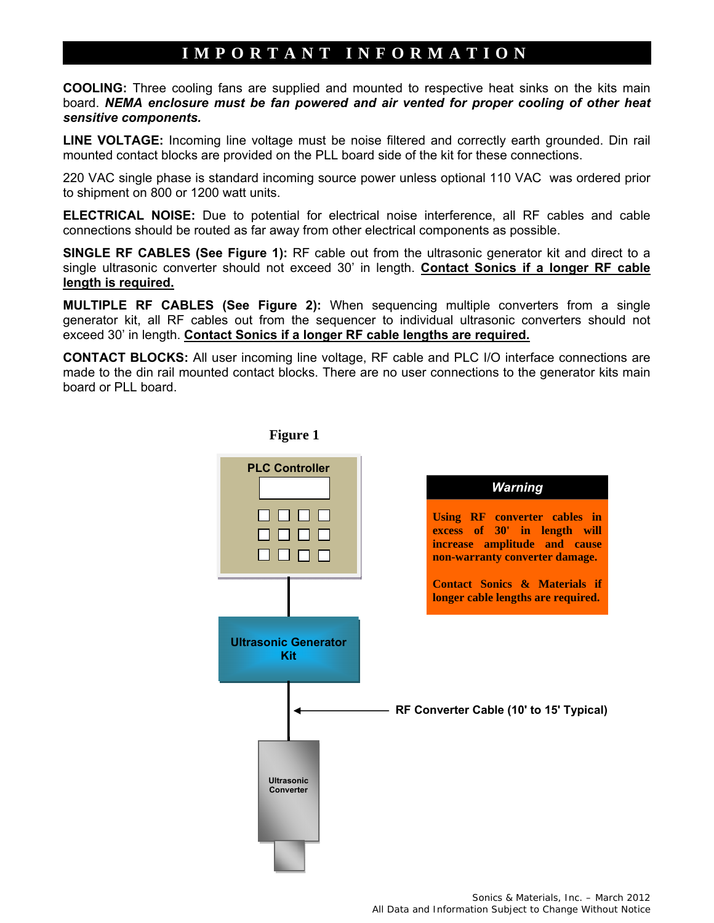#### **IMPORTANT INFORMATION**

**COOLING:** Three cooling fans are supplied and mounted to respective heat sinks on the kits main board. *NEMA enclosure must be fan powered and air vented for proper cooling of other heat sensitive components.*

**LINE VOLTAGE:** Incoming line voltage must be noise filtered and correctly earth grounded. Din rail mounted contact blocks are provided on the PLL board side of the kit for these connections.

220 VAC single phase is standard incoming source power unless optional 110 VAC was ordered prior to shipment on 800 or 1200 watt units.

**ELECTRICAL NOISE:** Due to potential for electrical noise interference, all RF cables and cable connections should be routed as far away from other electrical components as possible.

**SINGLE RF CABLES (See Figure 1):** RF cable out from the ultrasonic generator kit and direct to a single ultrasonic converter should not exceed 30' in length. **Contact Sonics if a longer RF cable length is required.** 

**MULTIPLE RF CABLES (See Figure 2):** When sequencing multiple converters from a single generator kit, all RF cables out from the sequencer to individual ultrasonic converters should not exceed 30' in length. **Contact Sonics if a longer RF cable lengths are required.** 

**CONTACT BLOCKS:** All user incoming line voltage, RF cable and PLC I/O interface connections are made to the din rail mounted contact blocks. There are no user connections to the generator kits main board or PLL board.



 **Figure 1**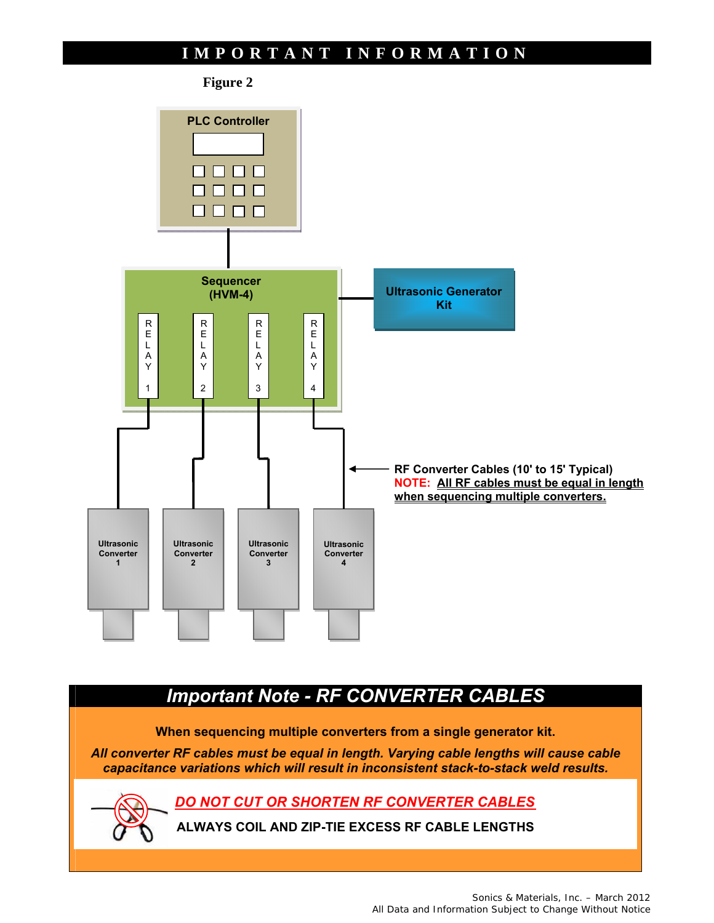#### **IMPORTANT INFORMATION**



## *Important Note - RF CONVERTER CABLES*

**When sequencing multiple converters from a single generator kit.** 

*All converter RF cables must be equal in length. Varying cable lengths will cause cable capacitance variations which will result in inconsistent stack-to-stack weld results.* 

*DO NOT CUT OR SHORTEN RF CONVERTER CABLES* 

**ALWAYS COIL AND ZIP-TIE EXCESS RF CABLE LENGTHS**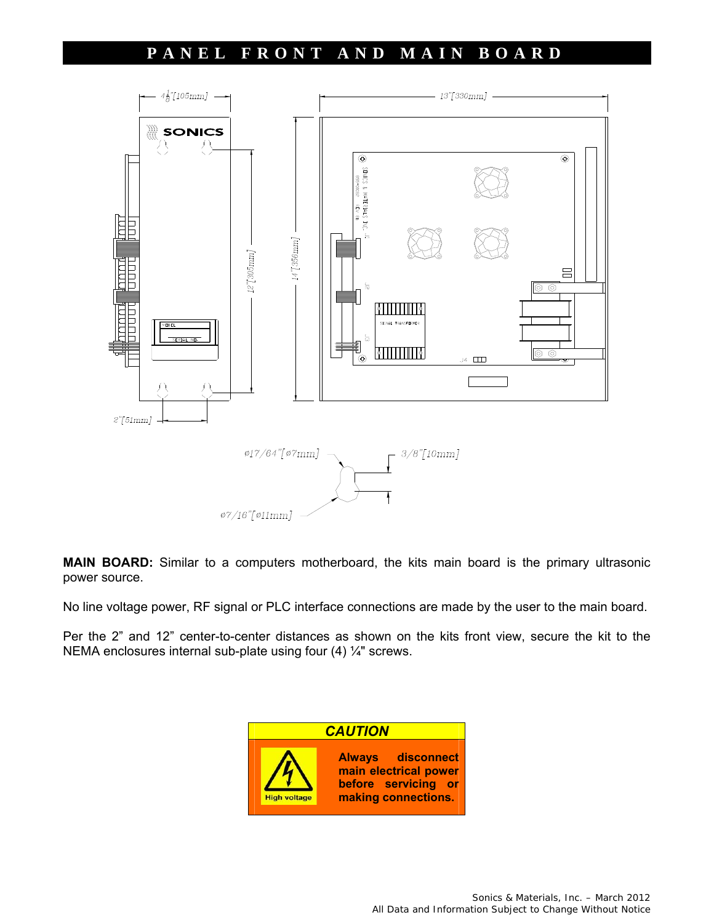#### **PANEL FRONT AND MAIN BOARD**



**MAIN BOARD:** Similar to a computers motherboard, the kits main board is the primary ultrasonic power source.

No line voltage power, RF signal or PLC interface connections are made by the user to the main board.

Per the 2" and 12" center-to-center distances as shown on the kits front view, secure the kit to the NEMA enclosures internal sub-plate using four (4) ¼" screws.

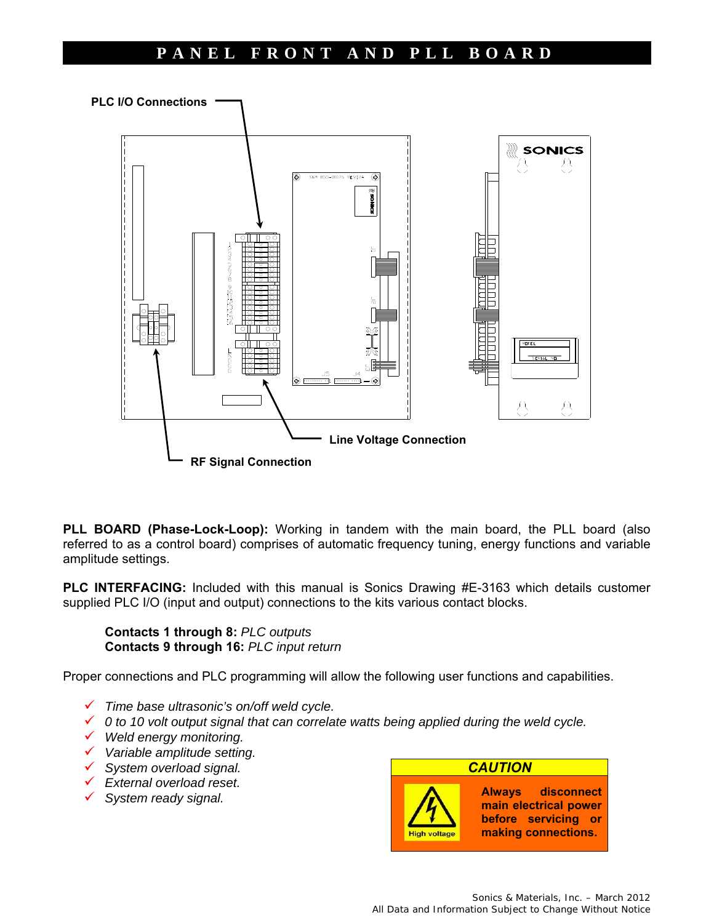#### **PANEL FRONT AND PLL BOARD**



**PLL BOARD (Phase-Lock-Loop):** Working in tandem with the main board, the PLL board (also referred to as a control board) comprises of automatic frequency tuning, energy functions and variable amplitude settings.

**PLC INTERFACING:** Included with this manual is Sonics Drawing #E-3163 which details customer supplied PLC I/O (input and output) connections to the kits various contact blocks.

 **Contacts 1 through 8:** *PLC outputs*   **Contacts 9 through 16:** *PLC input return* 

Proper connections and PLC programming will allow the following user functions and capabilities.

- *Time base ultrasonic's on/off weld cycle.*
- *0 to 10 volt output signal that can correlate watts being applied during the weld cycle.*
- *Weld energy monitoring.*
- *Variable amplitude setting.*
- *System overload signal.*
- *External overload reset.*
- *System ready signal.*

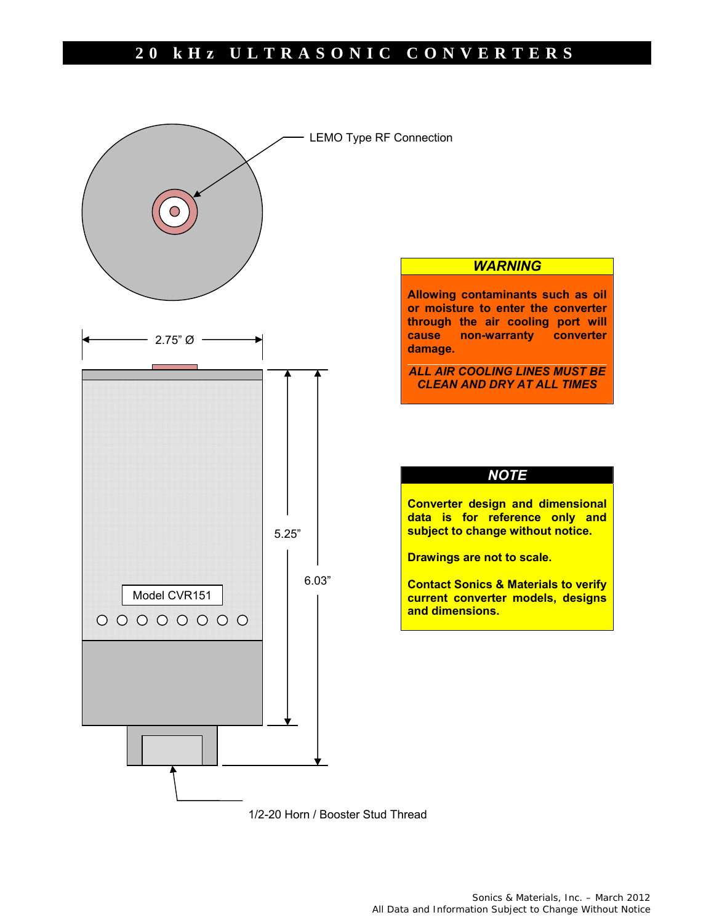

1/2-20 Horn / Booster Stud Thread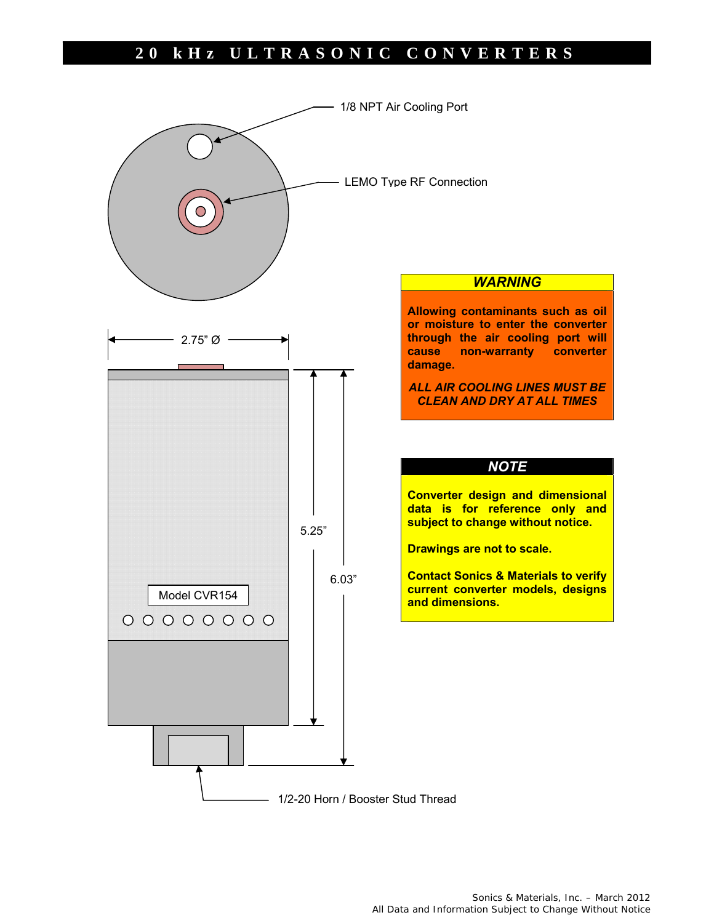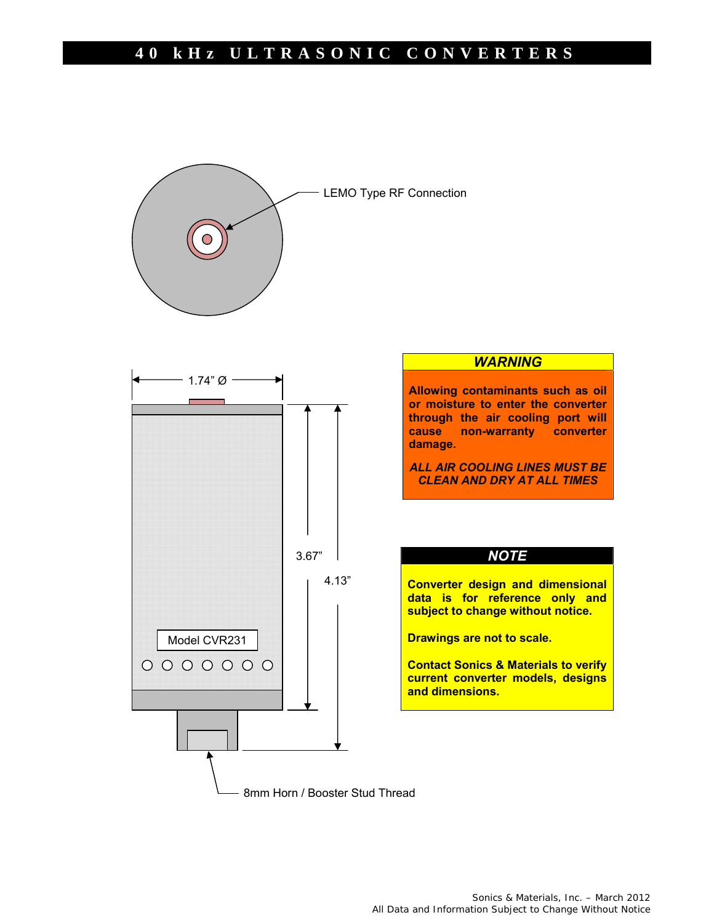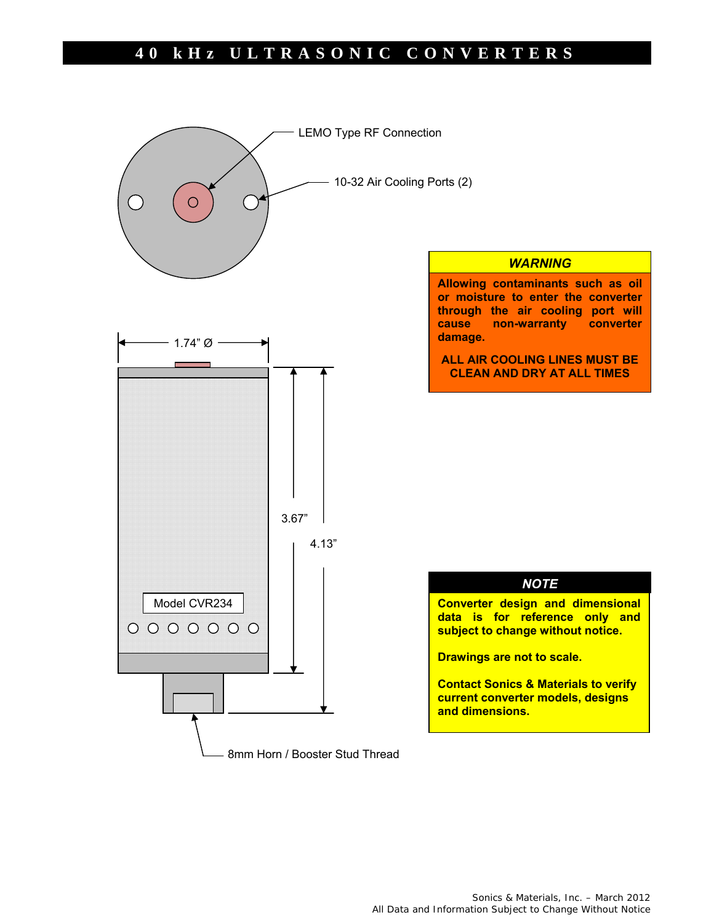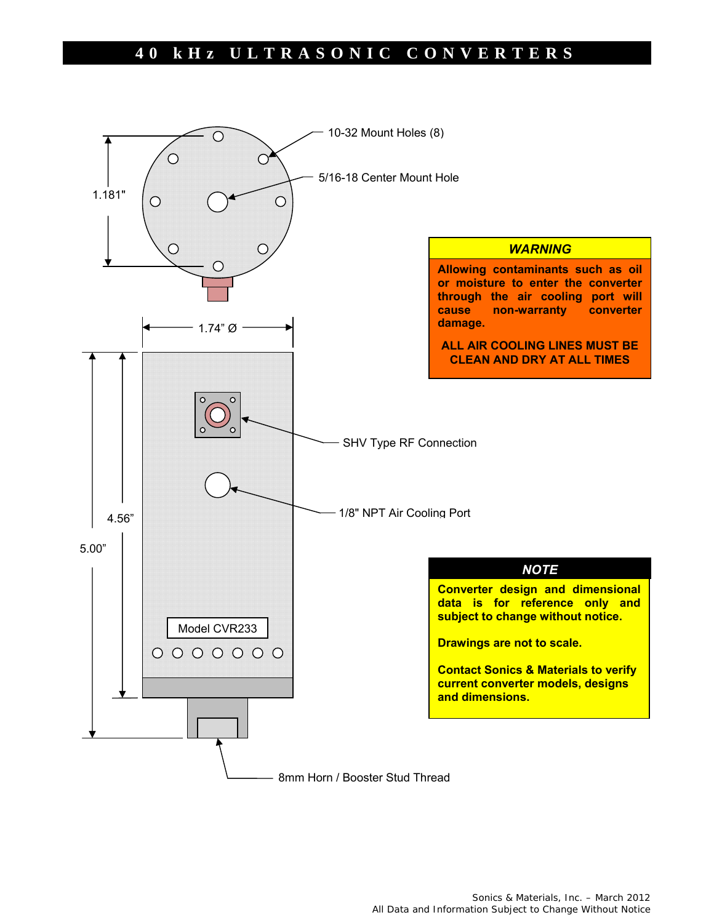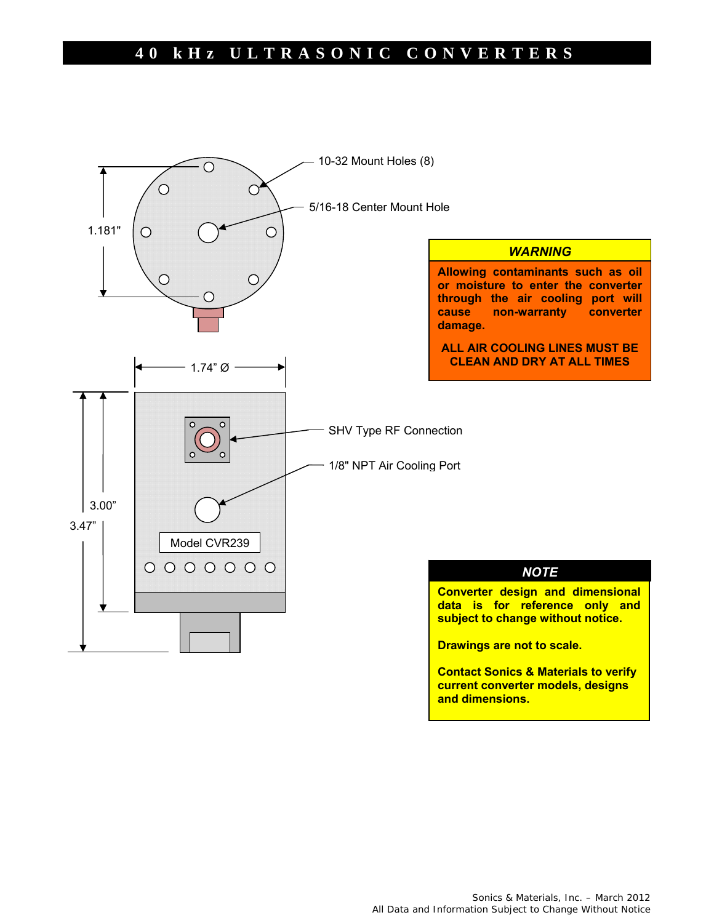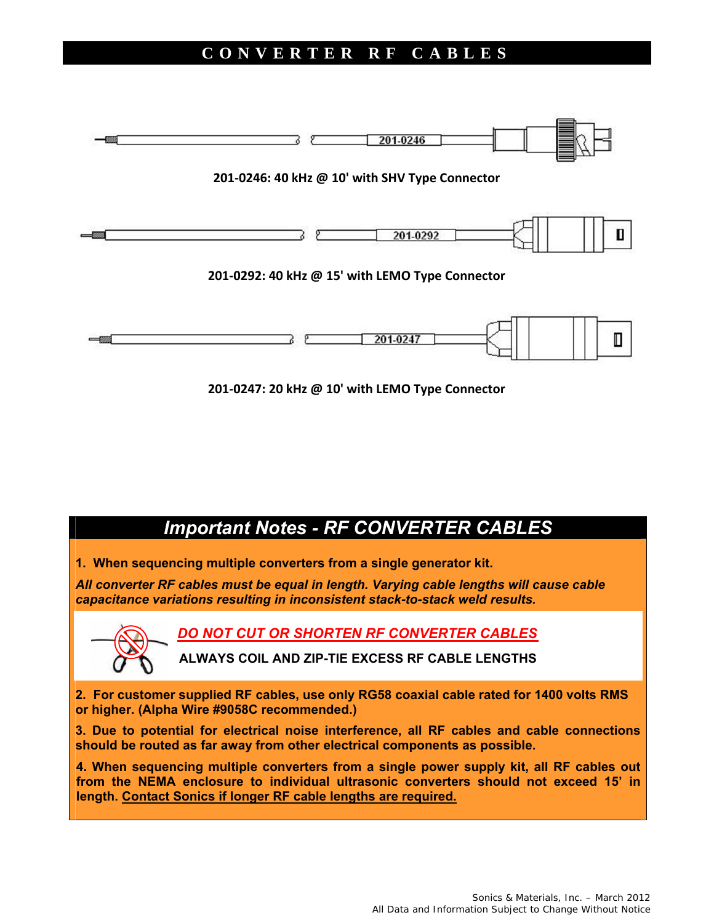#### **CONVERTER RF CABLES**



**201‐0247: 20 kHz @ 10' with LEMO Type Connector**

# *Important Notes - RF CONVERTER CABLES*

**1. When sequencing multiple converters from a single generator kit.** 

*All converter RF cables must be equal in length. Varying cable lengths will cause cable capacitance variations resulting in inconsistent stack-to-stack weld results.* 



*DO NOT CUT OR SHORTEN RF CONVERTER CABLES* 

**ALWAYS COIL AND ZIP-TIE EXCESS RF CABLE LENGTHS** 

**2. For customer supplied RF cables, use only RG58 coaxial cable rated for 1400 volts RMS or higher. (Alpha Wire #9058C recommended.)** 

**3. Due to potential for electrical noise interference, all RF cables and cable connections should be routed as far away from other electrical components as possible.**

**4. When sequencing multiple converters from a single power supply kit, all RF cables out from the NEMA enclosure to individual ultrasonic converters should not exceed 15' in length. Contact Sonics if longer RF cable lengths are required.**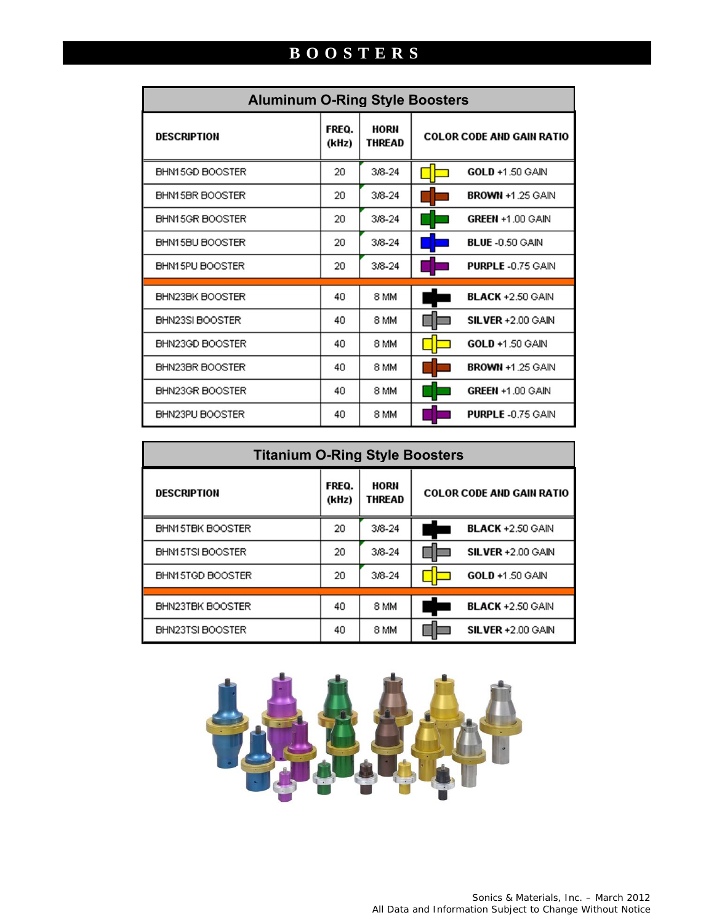# **BOOSTERS**

| <b>Aluminum O-Ring Style Boosters</b> |                |                       |                                  |  |  |
|---------------------------------------|----------------|-----------------------|----------------------------------|--|--|
| <b>DESCRIPTION</b>                    | FREQ.<br>(kHz) | HORN<br><b>THREAD</b> | <b>COLOR CODE AND GAIN RATIO</b> |  |  |
| BHN15GD BOOSTER                       | 20.            | $3/8 - 24$            | <b>GOLD +1 50 GAIN</b>           |  |  |
| BHN15BR BOOSTER                       | 20             | $3/8 - 24$            | <b>BROWN +1.25 GAIN</b>          |  |  |
| BHN15GR BOOSTER                       | 20             | $3/8 - 24$            | GREEN +1.00 GAIN                 |  |  |
| BHN15BU BOOSTER                       | 20             | $3/8 - 24$            | <b>BLUE -0.50 GAIN</b>           |  |  |
| BHN15PU BOOSTER                       | 20             | $3/8 - 24$            | <b>PURPLE-0.75 GAIN</b>          |  |  |
| BHN23BK BOOSTER                       | 40             | 8 MM                  | <b>BLACK +2.50 GAIN</b>          |  |  |
| BHN23SI BOOSTER                       | 40             | 8 MM                  | <b>SILVER +2.00 GAIN</b>         |  |  |
| BHN23GD BOOSTER                       | 40             | 8 MM                  | <b>GOLD +1.50 GAIN</b>           |  |  |
| BHN23BR BOOSTER                       | 40             | 8 MM                  | <b>BROWN +1.25 GAIN</b>          |  |  |
| BHN23GR BOOSTER                       | 40             | 8 MM                  | GREEN +1.00 GAIN                 |  |  |
| BHN23PU BOOSTER                       | 40             | 8 MM                  | <b>PURPLE -0.75 GAIN</b>         |  |  |

| <b>Titanium O-Ring Style Boosters</b> |                |                       |                                  |  |  |
|---------------------------------------|----------------|-----------------------|----------------------------------|--|--|
| <b>DESCRIPTION</b>                    | FREQ.<br>(kHz) | HORN<br><b>THREAD</b> | <b>COLOR CODE AND GAIN RATIO</b> |  |  |
| BHN15TBK BOOSTER                      | 20             | $3/8 - 24$            | <b>BLACK +2.50 GAIN</b>          |  |  |
| BHN15TSI BOOSTER                      | 20             | $3/8 - 24$            | SILVER +2.00 GAIN                |  |  |
| BHN15TGD BOOSTER                      | 20             | 3/8-24                | <b>GOLD +1.50 GAIN</b>           |  |  |
| BHN23TBK BOOSTER                      | 40             | 8 MM                  | <b>BLACK +2.50 GAIN</b>          |  |  |
| BHN23TSI BOOSTER                      | 40             | 8 MM                  | SILVER +2.00 GAIN                |  |  |

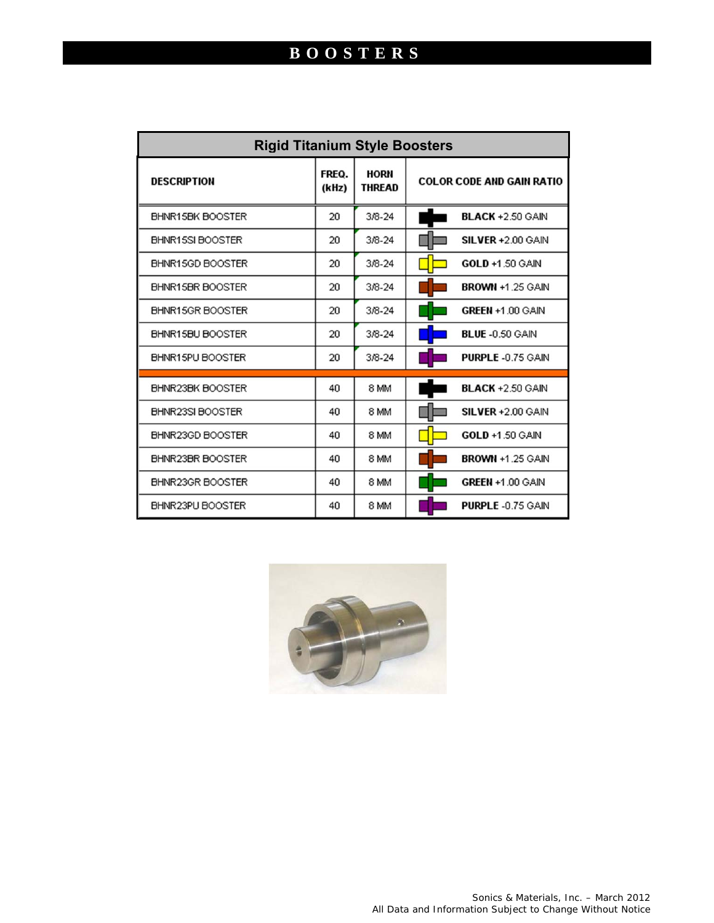| <b>Rigid Titanium Style Boosters</b> |                |                       |                                  |  |  |
|--------------------------------------|----------------|-----------------------|----------------------------------|--|--|
| <b>DESCRIPTION</b>                   | FREQ.<br>(kHz) | HORN<br><b>THREAD</b> | <b>COLOR CODE AND GAIN RATIO</b> |  |  |
| BHNR15BK BOOSTER                     | 20             | 3/8-24                | <b>BLACK +2.50 GAIN</b>          |  |  |
| BHNR15SIBOOSTER                      | 20             | $3/8 - 24$            | <b>SILVER +2.00 GAIN</b>         |  |  |
| BHNR15GD BOOSTER                     | 20             | $3/8 - 24$            | <b>GOLD +1.50 GAIN</b>           |  |  |
| BHNR15BR BOOSTER                     | 20             | $3/8 - 24$            | <b>BROWN +1.25 GAIN</b>          |  |  |
| BHNR15GR BOOSTER                     | 20             | $3/8 - 24$            | GREEN +1.00 GAIN                 |  |  |
| BHNR15BU BOOSTER                     | 20             | $3/8 - 24$            | <b>BLUE -0.50 GAIN</b>           |  |  |
| BHNR15PU BOOSTER                     | 20             | $3/8 - 24$            | <b>PURPLE-0.75 GAIN</b>          |  |  |
| BHNR23BK BOOSTER                     | 40             | 8 MM                  | <b>BLACK +2.50 GAIN</b>          |  |  |
| BHNR23SI BOOSTER                     | 40             | 8 MM                  | <b>SILVER +2.00 GAIN</b>         |  |  |
| BHNR23GD BOOSTER                     | 40             | 8 MM                  | GOLD +1.50 GAIN                  |  |  |
| BHNR23BR BOOSTER                     | 40             | 8 MM                  | <b>BROWN +1.25 GAIN</b>          |  |  |
| BHNR23GR BOOSTER                     | 40             | 8 MM                  | <b>GREEN +1.00 GAIN</b>          |  |  |
| BHNR23PU BOOSTER                     | 40             | 8 MM                  | <b>PURPLE-0.75 GAIN</b>          |  |  |

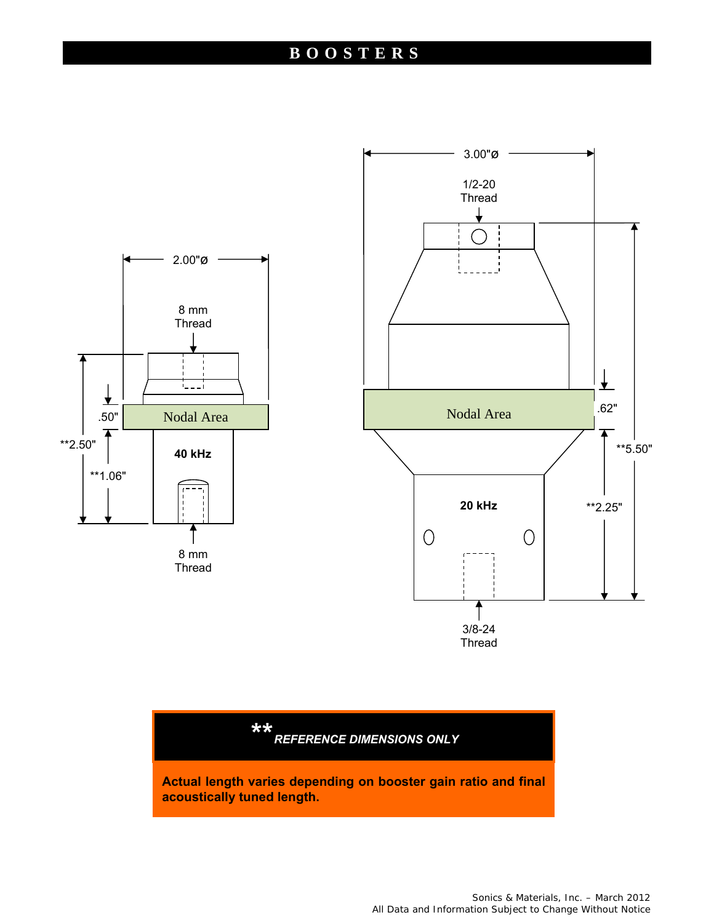### **BOOSTERS**



*\*\* REFERENCE DIMENSIONS ONLY* 

**Actual length varies depending on booster gain ratio and final acoustically tuned length.**